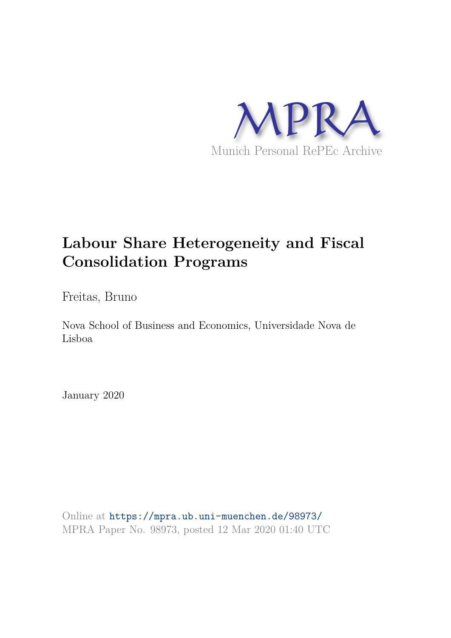

## **Labour Share Heterogeneity and Fiscal Consolidation Programs**

Freitas, Bruno

Nova School of Business and Economics, Universidade Nova de Lisboa

January 2020

Online at https://mpra.ub.uni-muenchen.de/98973/ MPRA Paper No. 98973, posted 12 Mar 2020 01:40 UTC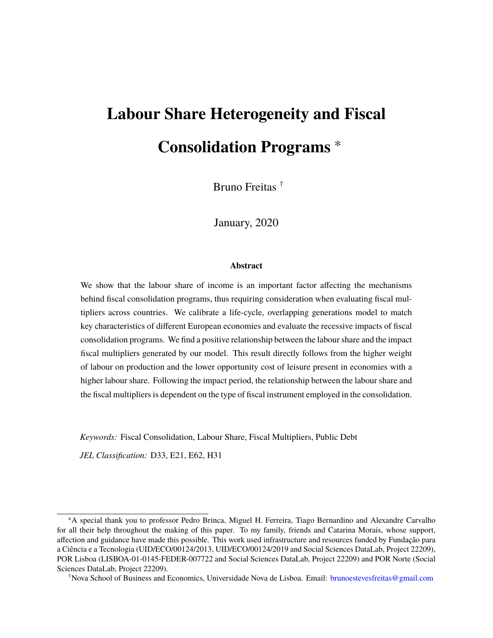# **Labour Share Heterogeneity and Fiscal Consolidation Programs** <sup>∗</sup>

Bruno Freitas †

January, 2020

#### **Abstract**

We show that the labour share of income is an important factor affecting the mechanisms behind fiscal consolidation programs, thus requiring consideration when evaluating fiscal multipliers across countries. We calibrate a life-cycle, overlapping generations model to match key characteristics of different European economies and evaluate the recessive impacts of fiscal consolidation programs. We find a positive relationship between the labour share and the impact fiscal multipliers generated by our model. This result directly follows from the higher weight of labour on production and the lower opportunity cost of leisure present in economies with a higher labour share. Following the impact period, the relationship between the labour share and the fiscal multipliers is dependent on the type of fiscal instrument employed in the consolidation.

*Keywords:* Fiscal Consolidation, Labour Share, Fiscal Multipliers, Public Debt

*JEL Classification:* D33, E21, E62, H31

<sup>∗</sup>A special thank you to professor Pedro Brinca, Miguel H. Ferreira, Tiago Bernardino and Alexandre Carvalho for all their help throughout the making of this paper. To my family, friends and Catarina Morais, whose support, affection and guidance have made this possible. This work used infrastructure and resources funded by Fundação para a Ciência e a Tecnologia (UID/ECO/00124/2013, UID/ECO/00124/2019 and Social Sciences DataLab, Project 22209), POR Lisboa (LISBOA-01-0145-FEDER-007722 and Social Sciences DataLab, Project 22209) and POR Norte (Social Sciences DataLab, Project 22209).

<sup>†</sup>Nova School of Business and Economics, Universidade Nova de Lisboa. Email: brunoestevesfreitas@gmail.com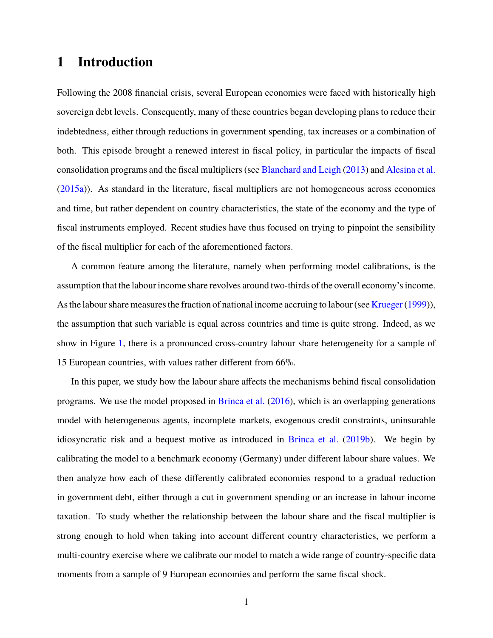## **1 Introduction**

Following the 2008 financial crisis, several European economies were faced with historically high sovereign debt levels. Consequently, many of these countries began developing plans to reduce their indebtedness, either through reductions in government spending, tax increases or a combination of both. This episode brought a renewed interest in fiscal policy, in particular the impacts of fiscal consolidation programs and the fiscal multipliers (see Blanchard and Leigh (2013) and Alesina et al. (2015a)). As standard in the literature, fiscal multipliers are not homogeneous across economies and time, but rather dependent on country characteristics, the state of the economy and the type of fiscal instruments employed. Recent studies have thus focused on trying to pinpoint the sensibility of the fiscal multiplier for each of the aforementioned factors.

A common feature among the literature, namely when performing model calibrations, is the assumption that the labour income share revolves around two-thirds of the overall economy's income. As the labour share measures the fraction of national income accruing to labour (see Krueger (1999)), the assumption that such variable is equal across countries and time is quite strong. Indeed, as we show in Figure 1, there is a pronounced cross-country labour share heterogeneity for a sample of 15 European countries, with values rather different from 66%.

In this paper, we study how the labour share affects the mechanisms behind fiscal consolidation programs. We use the model proposed in Brinca et al. (2016), which is an overlapping generations model with heterogeneous agents, incomplete markets, exogenous credit constraints, uninsurable idiosyncratic risk and a bequest motive as introduced in Brinca et al. (2019b). We begin by calibrating the model to a benchmark economy (Germany) under different labour share values. We then analyze how each of these differently calibrated economies respond to a gradual reduction in government debt, either through a cut in government spending or an increase in labour income taxation. To study whether the relationship between the labour share and the fiscal multiplier is strong enough to hold when taking into account different country characteristics, we perform a multi-country exercise where we calibrate our model to match a wide range of country-specific data moments from a sample of 9 European economies and perform the same fiscal shock.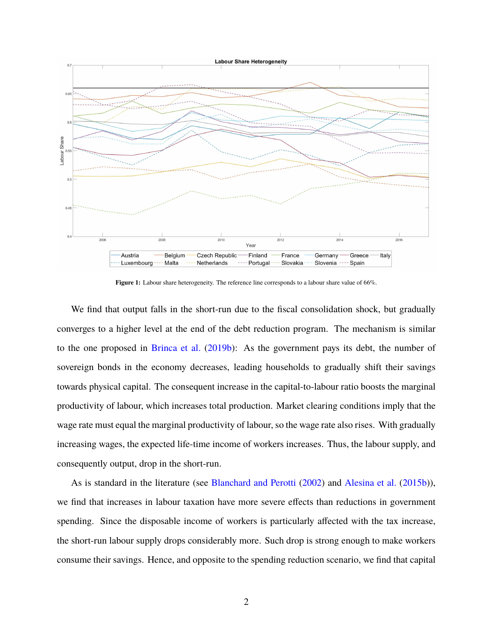

**Figure 1:** Labour share heterogeneity. The reference line corresponds to a labour share value of 66%.

We find that output falls in the short-run due to the fiscal consolidation shock, but gradually converges to a higher level at the end of the debt reduction program. The mechanism is similar to the one proposed in Brinca et al. (2019b): As the government pays its debt, the number of sovereign bonds in the economy decreases, leading households to gradually shift their savings towards physical capital. The consequent increase in the capital-to-labour ratio boosts the marginal productivity of labour, which increases total production. Market clearing conditions imply that the wage rate must equal the marginal productivity of labour, so the wage rate also rises. With gradually increasing wages, the expected life-time income of workers increases. Thus, the labour supply, and consequently output, drop in the short-run.

As is standard in the literature (see Blanchard and Perotti (2002) and Alesina et al. (2015b)), we find that increases in labour taxation have more severe effects than reductions in government spending. Since the disposable income of workers is particularly affected with the tax increase, the short-run labour supply drops considerably more. Such drop is strong enough to make workers consume their savings. Hence, and opposite to the spending reduction scenario, we find that capital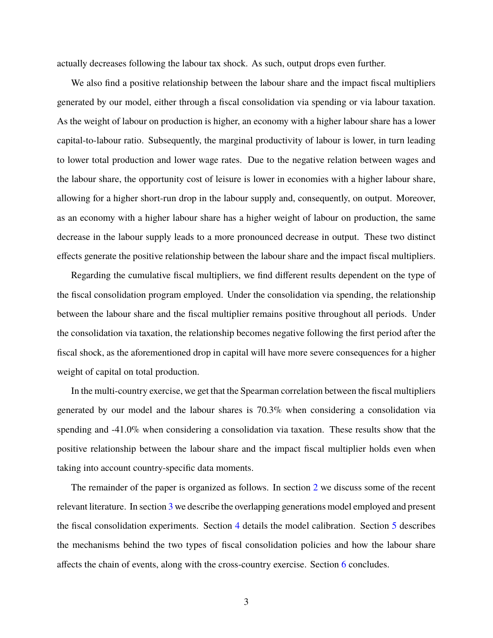actually decreases following the labour tax shock. As such, output drops even further.

We also find a positive relationship between the labour share and the impact fiscal multipliers generated by our model, either through a fiscal consolidation via spending or via labour taxation. As the weight of labour on production is higher, an economy with a higher labour share has a lower capital-to-labour ratio. Subsequently, the marginal productivity of labour is lower, in turn leading to lower total production and lower wage rates. Due to the negative relation between wages and the labour share, the opportunity cost of leisure is lower in economies with a higher labour share, allowing for a higher short-run drop in the labour supply and, consequently, on output. Moreover, as an economy with a higher labour share has a higher weight of labour on production, the same decrease in the labour supply leads to a more pronounced decrease in output. These two distinct effects generate the positive relationship between the labour share and the impact fiscal multipliers.

Regarding the cumulative fiscal multipliers, we find different results dependent on the type of the fiscal consolidation program employed. Under the consolidation via spending, the relationship between the labour share and the fiscal multiplier remains positive throughout all periods. Under the consolidation via taxation, the relationship becomes negative following the first period after the fiscal shock, as the aforementioned drop in capital will have more severe consequences for a higher weight of capital on total production.

In the multi-country exercise, we get that the Spearman correlation between the fiscal multipliers generated by our model and the labour shares is 70.3% when considering a consolidation via spending and -41.0% when considering a consolidation via taxation. These results show that the positive relationship between the labour share and the impact fiscal multiplier holds even when taking into account country-specific data moments.

The remainder of the paper is organized as follows. In section 2 we discuss some of the recent relevant literature. In section 3 we describe the overlapping generations model employed and present the fiscal consolidation experiments. Section 4 details the model calibration. Section 5 describes the mechanisms behind the two types of fiscal consolidation policies and how the labour share affects the chain of events, along with the cross-country exercise. Section 6 concludes.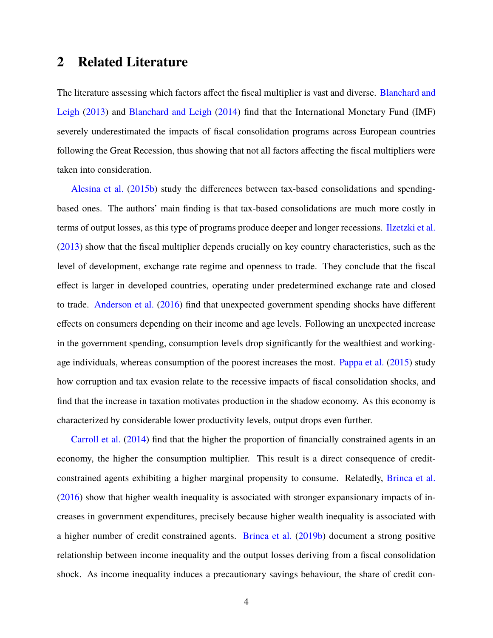## **2 Related Literature**

The literature assessing which factors affect the fiscal multiplier is vast and diverse. Blanchard and Leigh (2013) and Blanchard and Leigh (2014) find that the International Monetary Fund (IMF) severely underestimated the impacts of fiscal consolidation programs across European countries following the Great Recession, thus showing that not all factors affecting the fiscal multipliers were taken into consideration.

Alesina et al. (2015b) study the differences between tax-based consolidations and spendingbased ones. The authors' main finding is that tax-based consolidations are much more costly in terms of output losses, as this type of programs produce deeper and longer recessions. Ilzetzki et al. (2013) show that the fiscal multiplier depends crucially on key country characteristics, such as the level of development, exchange rate regime and openness to trade. They conclude that the fiscal effect is larger in developed countries, operating under predetermined exchange rate and closed to trade. Anderson et al. (2016) find that unexpected government spending shocks have different effects on consumers depending on their income and age levels. Following an unexpected increase in the government spending, consumption levels drop significantly for the wealthiest and workingage individuals, whereas consumption of the poorest increases the most. Pappa et al. (2015) study how corruption and tax evasion relate to the recessive impacts of fiscal consolidation shocks, and find that the increase in taxation motivates production in the shadow economy. As this economy is characterized by considerable lower productivity levels, output drops even further.

Carroll et al. (2014) find that the higher the proportion of financially constrained agents in an economy, the higher the consumption multiplier. This result is a direct consequence of creditconstrained agents exhibiting a higher marginal propensity to consume. Relatedly, Brinca et al. (2016) show that higher wealth inequality is associated with stronger expansionary impacts of increases in government expenditures, precisely because higher wealth inequality is associated with a higher number of credit constrained agents. Brinca et al. (2019b) document a strong positive relationship between income inequality and the output losses deriving from a fiscal consolidation shock. As income inequality induces a precautionary savings behaviour, the share of credit con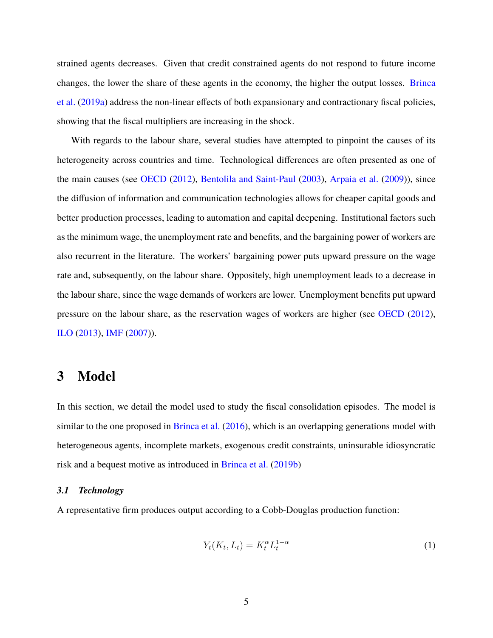strained agents decreases. Given that credit constrained agents do not respond to future income changes, the lower the share of these agents in the economy, the higher the output losses. Brinca et al. (2019a) address the non-linear effects of both expansionary and contractionary fiscal policies, showing that the fiscal multipliers are increasing in the shock.

With regards to the labour share, several studies have attempted to pinpoint the causes of its heterogeneity across countries and time. Technological differences are often presented as one of the main causes (see OECD (2012), Bentolila and Saint-Paul (2003), Arpaia et al. (2009)), since the diffusion of information and communication technologies allows for cheaper capital goods and better production processes, leading to automation and capital deepening. Institutional factors such as the minimum wage, the unemployment rate and benefits, and the bargaining power of workers are also recurrent in the literature. The workers' bargaining power puts upward pressure on the wage rate and, subsequently, on the labour share. Oppositely, high unemployment leads to a decrease in the labour share, since the wage demands of workers are lower. Unemployment benefits put upward pressure on the labour share, as the reservation wages of workers are higher (see OECD (2012), ILO (2013), IMF (2007)).

## **3 Model**

In this section, we detail the model used to study the fiscal consolidation episodes. The model is similar to the one proposed in Brinca et al. (2016), which is an overlapping generations model with heterogeneous agents, incomplete markets, exogenous credit constraints, uninsurable idiosyncratic risk and a bequest motive as introduced in Brinca et al. (2019b)

#### *3.1 Technology*

A representative firm produces output according to a Cobb-Douglas production function:

$$
Y_t(K_t, L_t) = K_t^{\alpha} L_t^{1-\alpha}
$$
\n(1)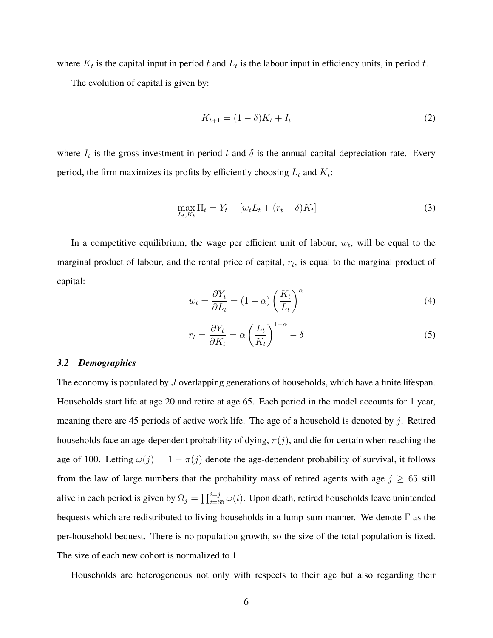where  $K_t$  is the capital input in period t and  $L_t$  is the labour input in efficiency units, in period t.

The evolution of capital is given by:

$$
K_{t+1} = (1 - \delta)K_t + I_t
$$
\n(2)

where  $I_t$  is the gross investment in period t and  $\delta$  is the annual capital depreciation rate. Every period, the firm maximizes its profits by efficiently choosing  $L_t$  and  $K_t$ :

$$
\max_{L_t, K_t} \Pi_t = Y_t - [w_t L_t + (r_t + \delta) K_t]
$$
\n(3)

In a competitive equilibrium, the wage per efficient unit of labour,  $w_t$ , will be equal to the marginal product of labour, and the rental price of capital,  $r_t$ , is equal to the marginal product of capital:

$$
w_t = \frac{\partial Y_t}{\partial L_t} = (1 - \alpha) \left(\frac{K_t}{L_t}\right)^{\alpha} \tag{4}
$$

$$
r_t = \frac{\partial Y_t}{\partial K_t} = \alpha \left(\frac{L_t}{K_t}\right)^{1-\alpha} - \delta \tag{5}
$$

#### *3.2 Demographics*

The economy is populated by  $J$  overlapping generations of households, which have a finite lifespan. Households start life at age 20 and retire at age 65. Each period in the model accounts for 1 year, meaning there are 45 periods of active work life. The age of a household is denoted by j. Retired households face an age-dependent probability of dying,  $\pi(j)$ , and die for certain when reaching the age of 100. Letting  $\omega(j) = 1 - \pi(j)$  denote the age-dependent probability of survival, it follows from the law of large numbers that the probability mass of retired agents with age  $j \geq 65$  still alive in each period is given by  $\Omega_j = \prod_{i=65}^{i=j} \omega(i)$ . Upon death, retired households leave unintended bequests which are redistributed to living households in a lump-sum manner. We denote Γ as the per-household bequest. There is no population growth, so the size of the total population is fixed. The size of each new cohort is normalized to 1.

Households are heterogeneous not only with respects to their age but also regarding their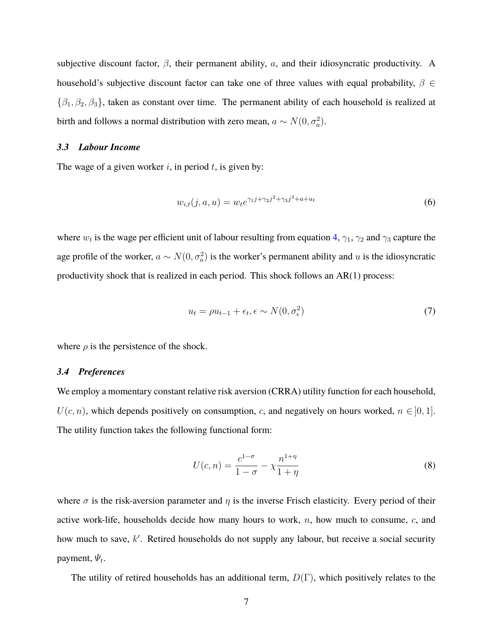subjective discount factor,  $\beta$ , their permanent ability,  $a$ , and their idiosyncratic productivity. A household's subjective discount factor can take one of three values with equal probability,  $\beta \in$  $\{\beta_1, \beta_2, \beta_3\}$ , taken as constant over time. The permanent ability of each household is realized at birth and follows a normal distribution with zero mean,  $a \sim N(0, \sigma_a^2)$ .

#### *3.3 Labour Income*

The wage of a given worker i, in period  $t$ , is given by:

$$
w_{i,t}(j,a,u) = w_t e^{\gamma_1 j + \gamma_2 j^2 + \gamma_3 j^3 + a + u_t}
$$
\n(6)

where  $w_t$  is the wage per efficient unit of labour resulting from equation 4,  $\gamma_1$ ,  $\gamma_2$  and  $\gamma_3$  capture the age profile of the worker,  $a \sim N(0, \sigma_a^2)$  is the worker's permanent ability and u is the idiosyncratic productivity shock that is realized in each period. This shock follows an AR(1) process:

$$
u_t = \rho u_{t-1} + \epsilon_t, \epsilon \sim N(0, \sigma_\epsilon^2)
$$
\n<sup>(7)</sup>

where  $\rho$  is the persistence of the shock.

#### *3.4 Preferences*

We employ a momentary constant relative risk aversion (CRRA) utility function for each household,  $U(c, n)$ , which depends positively on consumption, c, and negatively on hours worked,  $n \in [0, 1]$ . The utility function takes the following functional form:

$$
U(c,n) = \frac{c^{1-\sigma}}{1-\sigma} - \chi \frac{n^{1+\eta}}{1+\eta}
$$
 (8)

where  $\sigma$  is the risk-aversion parameter and  $\eta$  is the inverse Frisch elasticity. Every period of their active work-life, households decide how many hours to work,  $n$ , how much to consume,  $c$ , and how much to save, k'. Retired households do not supply any labour, but receive a social security payment,  $\Psi_t$ .

The utility of retired households has an additional term,  $D(\Gamma)$ , which positively relates to the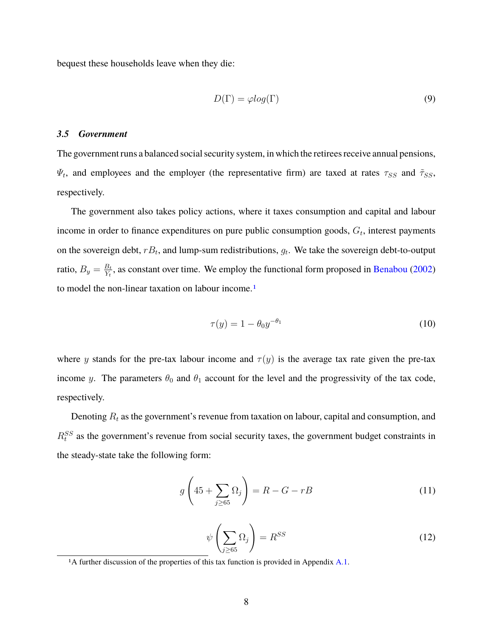bequest these households leave when they die:

$$
D(\Gamma) = \varphi \log(\Gamma) \tag{9}
$$

#### *3.5 Government*

The government runs a balanced social security system, in which the retirees receive annual pensions,  $\Psi_t$ , and employees and the employer (the representative firm) are taxed at rates  $\tau_{SS}$  and  $\tilde{\tau}_{SS}$ , respectively.

The government also takes policy actions, where it taxes consumption and capital and labour income in order to finance expenditures on pure public consumption goods,  $G_t$ , interest payments on the sovereign debt,  $rB_t$ , and lump-sum redistributions,  $g_t$ . We take the sovereign debt-to-output ratio,  $B_y = \frac{B_t}{Y_t}$  $\frac{B_t}{Y_t}$ , as constant over time. We employ the functional form proposed in Benabou (2002) to model the non-linear taxation on labour income.<sup>1</sup>

$$
\tau(y) = 1 - \theta_0 y^{-\theta_1} \tag{10}
$$

where y stands for the pre-tax labour income and  $\tau(y)$  is the average tax rate given the pre-tax income y. The parameters  $\theta_0$  and  $\theta_1$  account for the level and the progressivity of the tax code, respectively.

Denoting  $R_t$  as the government's revenue from taxation on labour, capital and consumption, and  $R_t^{SS}$  as the government's revenue from social security taxes, the government budget constraints in the steady-state take the following form:

$$
g\left(45+\sum_{j\geq 65}\Omega_j\right) = R - G - rB\tag{11}
$$

$$
\psi\left(\sum_{j\geq 65} \Omega_j\right) = R^{SS} \tag{12}
$$

1A further discussion of the properties of this tax function is provided in Appendix A.1.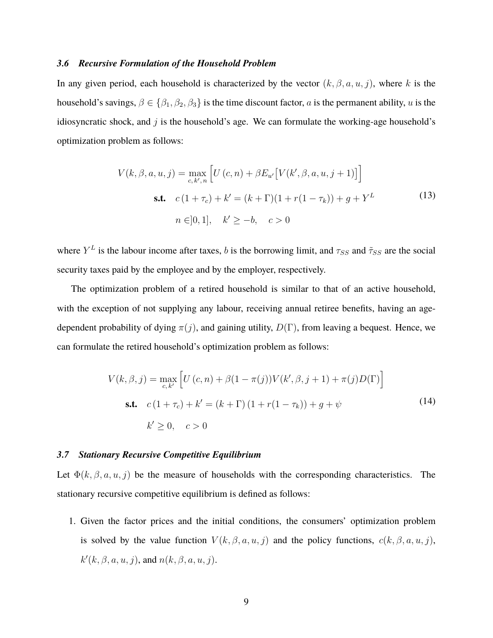#### *3.6 Recursive Formulation of the Household Problem*

In any given period, each household is characterized by the vector  $(k, \beta, a, u, j)$ , where k is the household's savings,  $\beta \in \{\beta_1, \beta_2, \beta_3\}$  is the time discount factor, a is the permanent ability, u is the idiosyncratic shock, and  $j$  is the household's age. We can formulate the working-age household's optimization problem as follows:

$$
V(k, \beta, a, u, j) = \max_{c, k', n} \left[ U(c, n) + \beta E_{u'} [V(k', \beta, a, u, j + 1)] \right]
$$
  
**s.t.**  $c(1 + \tau_c) + k' = (k + \Gamma)(1 + r(1 - \tau_k)) + g + Y^L$  (13)  
 $n \in ]0, 1], \quad k' \ge -b, \quad c > 0$ 

where  $Y^L$  is the labour income after taxes, b is the borrowing limit, and  $\tau_{SS}$  and  $\tilde{\tau}_{SS}$  are the social security taxes paid by the employee and by the employer, respectively.

The optimization problem of a retired household is similar to that of an active household, with the exception of not supplying any labour, receiving annual retiree benefits, having an agedependent probability of dying  $\pi(j)$ , and gaining utility,  $D(\Gamma)$ , from leaving a bequest. Hence, we can formulate the retired household's optimization problem as follows:

$$
V(k, \beta, j) = \max_{c, k'} \left[ U(c, n) + \beta (1 - \pi(j)) V(k', \beta, j + 1) + \pi(j) D(\Gamma) \right]
$$
  
**s.t.**  $c (1 + \tau_c) + k' = (k + \Gamma) (1 + r(1 - \tau_k)) + g + \psi$  (14)  
 $k' \ge 0, \quad c > 0$ 

#### *3.7 Stationary Recursive Competitive Equilibrium*

Let  $\Phi(k, \beta, a, u, j)$  be the measure of households with the corresponding characteristics. The stationary recursive competitive equilibrium is defined as follows:

1. Given the factor prices and the initial conditions, the consumers' optimization problem is solved by the value function  $V(k, \beta, a, u, j)$  and the policy functions,  $c(k, \beta, a, u, j)$ ,  $k'(k, \beta, a, u, j)$ , and  $n(k, \beta, a, u, j)$ .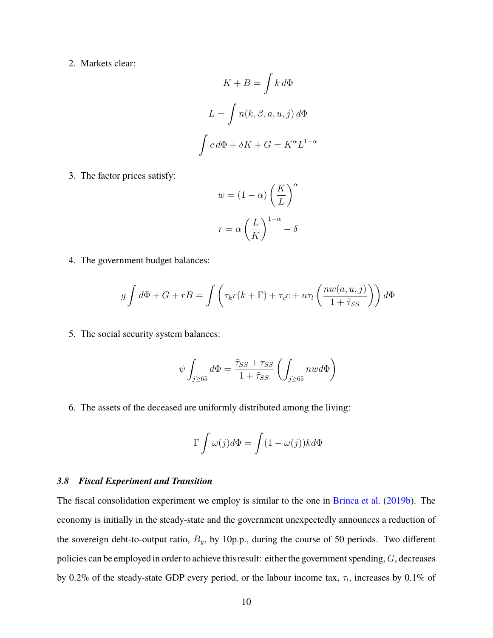2. Markets clear:

$$
K + B = \int k \, d\Phi
$$

$$
L = \int n(k, \beta, a, u, j) \, d\Phi
$$

$$
\int c \, d\Phi + \delta K + G = K^{\alpha} L^{1-\alpha}
$$

3. The factor prices satisfy:

$$
w = (1 - \alpha) \left(\frac{K}{L}\right)^{\alpha}
$$

$$
r = \alpha \left(\frac{L}{K}\right)^{1 - \alpha} - \delta
$$

4. The government budget balances:

$$
g \int d\Phi + G + rB = \int \left( \tau_k r(k+\Gamma) + \tau_c c + n\tau_l \left( \frac{nw(a,u,j)}{1+\tilde{\tau}_{SS}} \right) \right) d\Phi
$$

5. The social security system balances:

$$
\psi \int_{j \geq 65} d\Phi = \frac{\tilde \tau_{SS} + \tau_{SS}}{1 + \tilde \tau_{SS}} \left( \int_{j \geq 65} n w d\Phi \right)
$$

6. The assets of the deceased are uniformly distributed among the living:

$$
\Gamma \int \omega(j) d\Phi = \int (1 - \omega(j)) k d\Phi
$$

#### *3.8 Fiscal Experiment and Transition*

The fiscal consolidation experiment we employ is similar to the one in Brinca et al. (2019b). The economy is initially in the steady-state and the government unexpectedly announces a reduction of the sovereign debt-to-output ratio,  $B_y$ , by 10p.p., during the course of 50 periods. Two different policies can be employed in order to achieve this result: either the government spending, G, decreases by 0.2% of the steady-state GDP every period, or the labour income tax,  $\tau_l$ , increases by 0.1% of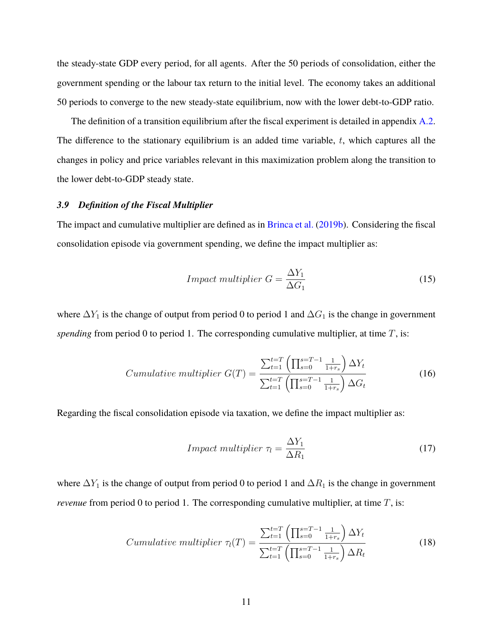the steady-state GDP every period, for all agents. After the 50 periods of consolidation, either the government spending or the labour tax return to the initial level. The economy takes an additional 50 periods to converge to the new steady-state equilibrium, now with the lower debt-to-GDP ratio.

The definition of a transition equilibrium after the fiscal experiment is detailed in appendix A.2. The difference to the stationary equilibrium is an added time variable,  $t$ , which captures all the changes in policy and price variables relevant in this maximization problem along the transition to the lower debt-to-GDP steady state.

#### *3.9 Definition of the Fiscal Multiplier*

The impact and cumulative multiplier are defined as in Brinca et al. (2019b). Considering the fiscal consolidation episode via government spending, we define the impact multiplier as:

$$
Impact multiplier G = \frac{\Delta Y_1}{\Delta G_1}
$$
\n(15)

where  $\Delta Y_1$  is the change of output from period 0 to period 1 and  $\Delta G_1$  is the change in government *spending* from period 0 to period 1. The corresponding cumulative multiplier, at time  $T$ , is:

$$
Cumulative\ multiplier\ G(T) = \frac{\sum_{t=1}^{t=T} \left(\prod_{s=0}^{s=T-1} \frac{1}{1+r_s}\right) \Delta Y_t}{\sum_{t=1}^{t=T} \left(\prod_{s=0}^{s=T-1} \frac{1}{1+r_s}\right) \Delta G_t}
$$
(16)

Regarding the fiscal consolidation episode via taxation, we define the impact multiplier as:

$$
Impact multiplier \tau_l = \frac{\Delta Y_1}{\Delta R_1}
$$
\n<sup>(17)</sup>

where  $\Delta Y_1$  is the change of output from period 0 to period 1 and  $\Delta R_1$  is the change in government *revenue* from period 0 to period 1. The corresponding cumulative multiplier, at time T, is:

$$
Cumulative\ multiplier\ \tau_l(T) = \frac{\sum_{t=1}^{t=T} \left(\prod_{s=0}^{s=T-1} \frac{1}{1+r_s}\right) \Delta Y_t}{\sum_{t=1}^{t=T} \left(\prod_{s=0}^{s=T-1} \frac{1}{1+r_s}\right) \Delta R_t}
$$
(18)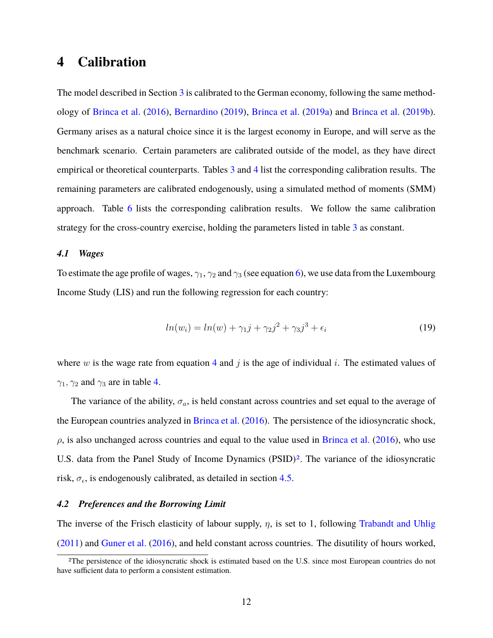## **4 Calibration**

The model described in Section 3 is calibrated to the German economy, following the same methodology of Brinca et al. (2016), Bernardino (2019), Brinca et al. (2019a) and Brinca et al. (2019b). Germany arises as a natural choice since it is the largest economy in Europe, and will serve as the benchmark scenario. Certain parameters are calibrated outside of the model, as they have direct empirical or theoretical counterparts. Tables 3 and 4 list the corresponding calibration results. The remaining parameters are calibrated endogenously, using a simulated method of moments (SMM) approach. Table 6 lists the corresponding calibration results. We follow the same calibration strategy for the cross-country exercise, holding the parameters listed in table 3 as constant.

#### *4.1 Wages*

To estimate the age profile of wages,  $\gamma_1$ ,  $\gamma_2$  and  $\gamma_3$  (see equation 6), we use data from the Luxembourg Income Study (LIS) and run the following regression for each country:

$$
ln(w_i) = ln(w) + \gamma_1 j + \gamma_2 j^2 + \gamma_3 j^3 + \epsilon_i
$$
\n(19)

where w is the wage rate from equation 4 and j is the age of individual i. The estimated values of  $\gamma_1$ ,  $\gamma_2$  and  $\gamma_3$  are in table 4.

The variance of the ability,  $\sigma_a$ , is held constant across countries and set equal to the average of the European countries analyzed in Brinca et al. (2016). The persistence of the idiosyncratic shock,  $\rho$ , is also unchanged across countries and equal to the value used in Brinca et al. (2016), who use U.S. data from the Panel Study of Income Dynamics (PSID)<sup>2</sup>. The variance of the idiosyncratic risk,  $\sigma_{\epsilon}$ , is endogenously calibrated, as detailed in section 4.5.

#### *4.2 Preferences and the Borrowing Limit*

The inverse of the Frisch elasticity of labour supply,  $\eta$ , is set to 1, following Trabandt and Uhlig (2011) and Guner et al. (2016), and held constant across countries. The disutility of hours worked,

<sup>&</sup>lt;sup>2</sup>The persistence of the idiosyncratic shock is estimated based on the U.S. since most European countries do not have sufficient data to perform a consistent estimation.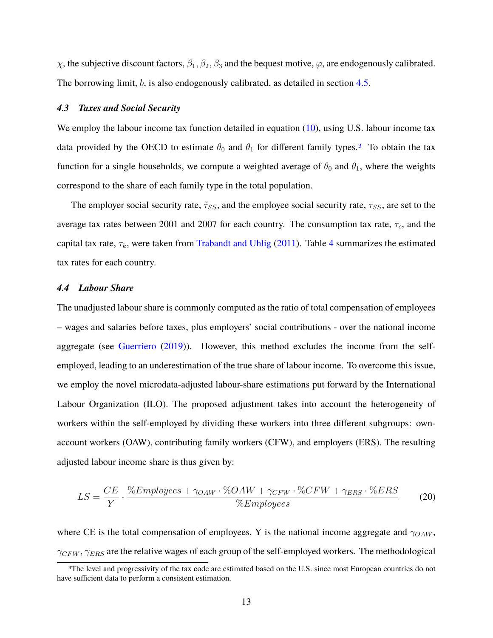$\chi$ , the subjective discount factors,  $\beta_1, \beta_2, \beta_3$  and the bequest motive,  $\varphi$ , are endogenously calibrated. The borrowing limit,  $b$ , is also endogenously calibrated, as detailed in section 4.5.

#### *4.3 Taxes and Social Security*

We employ the labour income tax function detailed in equation (10), using U.S. labour income tax data provided by the OECD to estimate  $\theta_0$  and  $\theta_1$  for different family types.<sup>3</sup> To obtain the tax function for a single households, we compute a weighted average of  $\theta_0$  and  $\theta_1$ , where the weights correspond to the share of each family type in the total population.

The employer social security rate,  $\tilde{\tau}_{SS}$ , and the employee social security rate,  $\tau_{SS}$ , are set to the average tax rates between 2001 and 2007 for each country. The consumption tax rate,  $\tau_c$ , and the capital tax rate,  $\tau_k$ , were taken from Trabandt and Uhlig (2011). Table 4 summarizes the estimated tax rates for each country.

#### *4.4 Labour Share*

The unadjusted labour share is commonly computed as the ratio of total compensation of employees – wages and salaries before taxes, plus employers' social contributions - over the national income aggregate (see Guerriero (2019)). However, this method excludes the income from the selfemployed, leading to an underestimation of the true share of labour income. To overcome this issue, we employ the novel microdata-adjusted labour-share estimations put forward by the International Labour Organization (ILO). The proposed adjustment takes into account the heterogeneity of workers within the self-employed by dividing these workers into three different subgroups: ownaccount workers (OAW), contributing family workers (CFW), and employers (ERS). The resulting adjusted labour income share is thus given by:

$$
LS = \frac{CE}{Y} \cdot \frac{\%Employes + \gamma_{OAW} \cdot \% OAW + \gamma_{CFW} \cdot \% CFW + \gamma_{ERS} \cdot \% ERS}{\%Employes}
$$
(20)

where CE is the total compensation of employees, Y is the national income aggregate and  $\gamma_{OAW}$ ,  $\gamma_{CFW}$ ,  $\gamma_{ERS}$  are the relative wages of each group of the self-employed workers. The methodological

<sup>&</sup>lt;sup>3</sup>The level and progressivity of the tax code are estimated based on the U.S. since most European countries do not have sufficient data to perform a consistent estimation.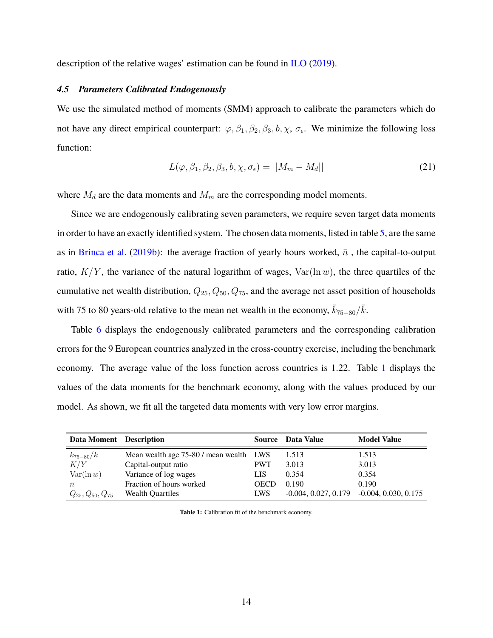description of the relative wages' estimation can be found in ILO (2019).

#### *4.5 Parameters Calibrated Endogenously*

We use the simulated method of moments (SMM) approach to calibrate the parameters which do not have any direct empirical counterpart:  $\varphi$ ,  $\beta_1$ ,  $\beta_2$ ,  $\beta_3$ ,  $b$ ,  $\chi$ ,  $\sigma_{\epsilon}$ . We minimize the following loss function:

$$
L(\varphi, \beta_1, \beta_2, \beta_3, b, \chi, \sigma_{\epsilon}) = ||M_m - M_d|| \tag{21}
$$

where  $M_d$  are the data moments and  $M_m$  are the corresponding model moments.

Since we are endogenously calibrating seven parameters, we require seven target data moments in order to have an exactly identified system. The chosen data moments, listed in table 5, are the same as in Brinca et al. (2019b): the average fraction of yearly hours worked,  $\bar{n}$ , the capital-to-output ratio,  $K/Y$ , the variance of the natural logarithm of wages,  $Var(\ln w)$ , the three quartiles of the cumulative net wealth distribution,  $Q_{25}$ ,  $Q_{50}$ ,  $Q_{75}$ , and the average net asset position of households with 75 to 80 years-old relative to the mean net wealth in the economy,  $\bar{k}_{75-80}/\bar{k}$ .

Table 6 displays the endogenously calibrated parameters and the corresponding calibration errors for the 9 European countries analyzed in the cross-country exercise, including the benchmark economy. The average value of the loss function across countries is 1.22. Table 1 displays the values of the data moments for the benchmark economy, along with the values produced by our model. As shown, we fit all the targeted data moments with very low error margins.

| Data Moment Description   |                                         |             | Source Data Value      | <b>Model Value</b>     |
|---------------------------|-----------------------------------------|-------------|------------------------|------------------------|
| $\bar{k}_{75-80}/\bar{k}$ | Mean wealth age 75-80 / mean wealth LWS |             | 1.513                  | 1.513                  |
| K/Y                       | Capital-output ratio                    | <b>PWT</b>  | 3.013                  | 3.013                  |
| $Var(\ln w)$              | Variance of log wages                   | LIS.        | 0.354                  | 0.354                  |
| $\bar{n}$                 | Fraction of hours worked                | <b>OECD</b> | 0.190                  | 0.190                  |
| $Q_{25}, Q_{50}, Q_{75}$  | <b>Wealth Quartiles</b>                 | LWS         | $-0.004, 0.027, 0.179$ | $-0.004, 0.030, 0.175$ |

**Table 1:** Calibration fit of the benchmark economy.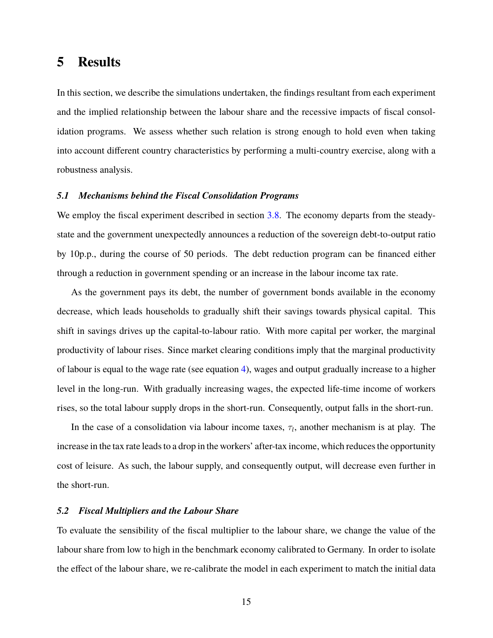## **5 Results**

In this section, we describe the simulations undertaken, the findings resultant from each experiment and the implied relationship between the labour share and the recessive impacts of fiscal consolidation programs. We assess whether such relation is strong enough to hold even when taking into account different country characteristics by performing a multi-country exercise, along with a robustness analysis.

#### *5.1 Mechanisms behind the Fiscal Consolidation Programs*

We employ the fiscal experiment described in section 3.8. The economy departs from the steadystate and the government unexpectedly announces a reduction of the sovereign debt-to-output ratio by 10p.p., during the course of 50 periods. The debt reduction program can be financed either through a reduction in government spending or an increase in the labour income tax rate.

As the government pays its debt, the number of government bonds available in the economy decrease, which leads households to gradually shift their savings towards physical capital. This shift in savings drives up the capital-to-labour ratio. With more capital per worker, the marginal productivity of labour rises. Since market clearing conditions imply that the marginal productivity of labour is equal to the wage rate (see equation 4), wages and output gradually increase to a higher level in the long-run. With gradually increasing wages, the expected life-time income of workers rises, so the total labour supply drops in the short-run. Consequently, output falls in the short-run.

In the case of a consolidation via labour income taxes,  $\tau_l$ , another mechanism is at play. The increase in the tax rate leads to a drop in the workers' after-tax income, which reduces the opportunity cost of leisure. As such, the labour supply, and consequently output, will decrease even further in the short-run.

#### *5.2 Fiscal Multipliers and the Labour Share*

To evaluate the sensibility of the fiscal multiplier to the labour share, we change the value of the labour share from low to high in the benchmark economy calibrated to Germany. In order to isolate the effect of the labour share, we re-calibrate the model in each experiment to match the initial data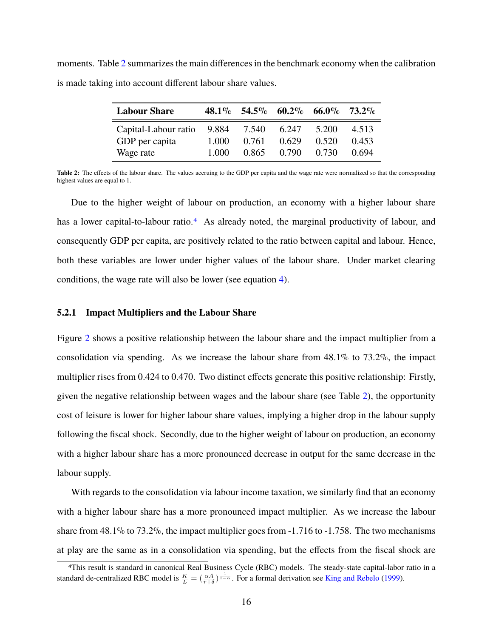moments. Table 2 summarizes the main differences in the benchmark economy when the calibration is made taking into account different labour share values.

| <b>Labour Share</b>  |       |       |       | 48.1\% 54.5\% 60.2\% 66.0\% 73.2\% |       |
|----------------------|-------|-------|-------|------------------------------------|-------|
| Capital-Labour ratio | 9.884 | 7.540 | 6.247 | 5.200                              | 4.513 |
| GDP per capita       | 1.000 | 0.761 | 0.629 | 0.520                              | 0.453 |
| Wage rate            | 1.000 | 0.865 | 0.790 | 0.730                              | 0.694 |

Table 2: The effects of the labour share. The values accruing to the GDP per capita and the wage rate were normalized so that the corresponding highest values are equal to 1.

Due to the higher weight of labour on production, an economy with a higher labour share has a lower capital-to-labour ratio.<sup>4</sup> As already noted, the marginal productivity of labour, and consequently GDP per capita, are positively related to the ratio between capital and labour. Hence, both these variables are lower under higher values of the labour share. Under market clearing conditions, the wage rate will also be lower (see equation 4).

#### **5.2.1 Impact Multipliers and the Labour Share**

Figure 2 shows a positive relationship between the labour share and the impact multiplier from a consolidation via spending. As we increase the labour share from  $48.1\%$  to  $73.2\%$ , the impact multiplier rises from 0.424 to 0.470. Two distinct effects generate this positive relationship: Firstly, given the negative relationship between wages and the labour share (see Table 2), the opportunity cost of leisure is lower for higher labour share values, implying a higher drop in the labour supply following the fiscal shock. Secondly, due to the higher weight of labour on production, an economy with a higher labour share has a more pronounced decrease in output for the same decrease in the labour supply.

With regards to the consolidation via labour income taxation, we similarly find that an economy with a higher labour share has a more pronounced impact multiplier. As we increase the labour share from 48.1% to 73.2%, the impact multiplier goes from -1.716 to -1.758. The two mechanisms at play are the same as in a consolidation via spending, but the effects from the fiscal shock are

<sup>4</sup>This result is standard in canonical Real Business Cycle (RBC) models. The steady-state capital-labor ratio in a standard de-centralized RBC model is  $\frac{K}{L} = (\frac{\alpha A}{r+\delta})^{\frac{1}{1-\alpha}}$ . For a formal derivation see King and Rebelo (1999).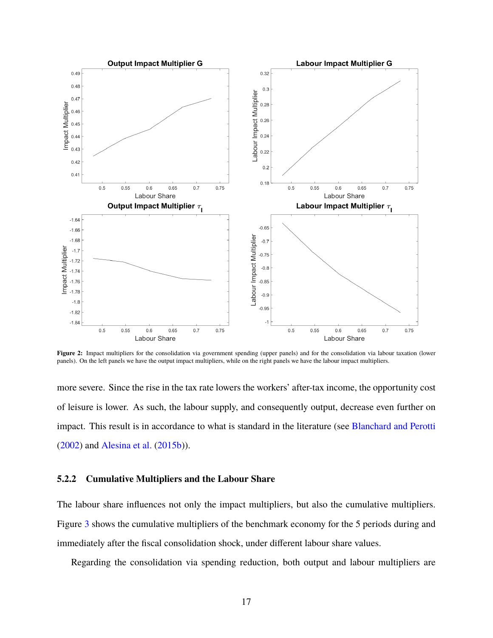

**Figure 2:** Impact multipliers for the consolidation via government spending (upper panels) and for the consolidation via labour taxation (lower panels). On the left panels we have the output impact multipliers, while on the right panels we have the labour impact multipliers.

more severe. Since the rise in the tax rate lowers the workers' after-tax income, the opportunity cost of leisure is lower. As such, the labour supply, and consequently output, decrease even further on impact. This result is in accordance to what is standard in the literature (see Blanchard and Perotti (2002) and Alesina et al. (2015b)).

#### **5.2.2 Cumulative Multipliers and the Labour Share**

The labour share influences not only the impact multipliers, but also the cumulative multipliers. Figure 3 shows the cumulative multipliers of the benchmark economy for the 5 periods during and immediately after the fiscal consolidation shock, under different labour share values.

Regarding the consolidation via spending reduction, both output and labour multipliers are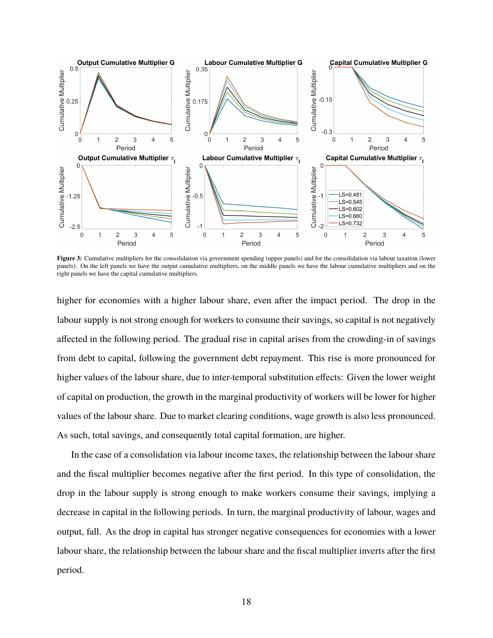

**Figure 3:** Cumulative multipliers for the consolidation via government spending (upper panels) and for the consolidation via labour taxation (lower panels). On the left panels we have the output cumulative multipliers, on the middle panels we have the labour cumulative multipliers and on the right panels we have the capital cumulative multipliers.

higher for economies with a higher labour share, even after the impact period. The drop in the labour supply is not strong enough for workers to consume their savings, so capital is not negatively affected in the following period. The gradual rise in capital arises from the crowding-in of savings from debt to capital, following the government debt repayment. This rise is more pronounced for higher values of the labour share, due to inter-temporal substitution effects: Given the lower weight of capital on production, the growth in the marginal productivity of workers will be lower for higher values of the labour share. Due to market clearing conditions, wage growth is also less pronounced. As such, total savings, and consequently total capital formation, are higher.

In the case of a consolidation via labour income taxes, the relationship between the labour share and the fiscal multiplier becomes negative after the first period. In this type of consolidation, the drop in the labour supply is strong enough to make workers consume their savings, implying a decrease in capital in the following periods. In turn, the marginal productivity of labour, wages and output, fall. As the drop in capital has stronger negative consequences for economies with a lower labour share, the relationship between the labour share and the fiscal multiplier inverts after the first period.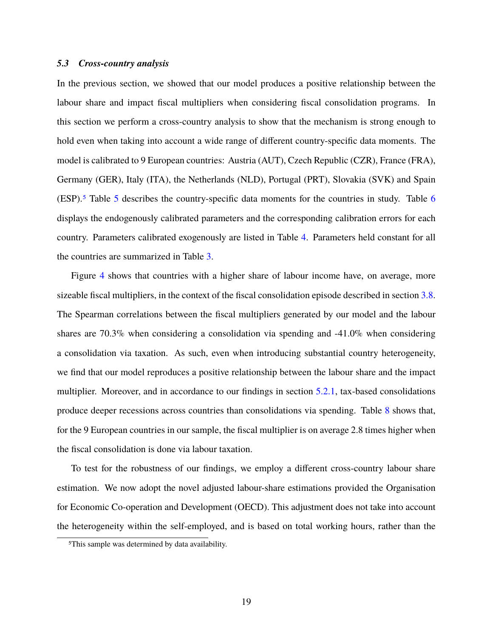#### *5.3 Cross-country analysis*

In the previous section, we showed that our model produces a positive relationship between the labour share and impact fiscal multipliers when considering fiscal consolidation programs. In this section we perform a cross-country analysis to show that the mechanism is strong enough to hold even when taking into account a wide range of different country-specific data moments. The model is calibrated to 9 European countries: Austria (AUT), Czech Republic (CZR), France (FRA), Germany (GER), Italy (ITA), the Netherlands (NLD), Portugal (PRT), Slovakia (SVK) and Spain (ESP).5 Table 5 describes the country-specific data moments for the countries in study. Table 6 displays the endogenously calibrated parameters and the corresponding calibration errors for each country. Parameters calibrated exogenously are listed in Table 4. Parameters held constant for all the countries are summarized in Table 3.

Figure 4 shows that countries with a higher share of labour income have, on average, more sizeable fiscal multipliers, in the context of the fiscal consolidation episode described in section 3.8. The Spearman correlations between the fiscal multipliers generated by our model and the labour shares are 70.3% when considering a consolidation via spending and -41.0% when considering a consolidation via taxation. As such, even when introducing substantial country heterogeneity, we find that our model reproduces a positive relationship between the labour share and the impact multiplier. Moreover, and in accordance to our findings in section  $5.2.1$ , tax-based consolidations produce deeper recessions across countries than consolidations via spending. Table 8 shows that, for the 9 European countries in our sample, the fiscal multiplier is on average 2.8 times higher when the fiscal consolidation is done via labour taxation.

To test for the robustness of our findings, we employ a different cross-country labour share estimation. We now adopt the novel adjusted labour-share estimations provided the Organisation for Economic Co-operation and Development (OECD). This adjustment does not take into account the heterogeneity within the self-employed, and is based on total working hours, rather than the

<sup>5</sup>This sample was determined by data availability.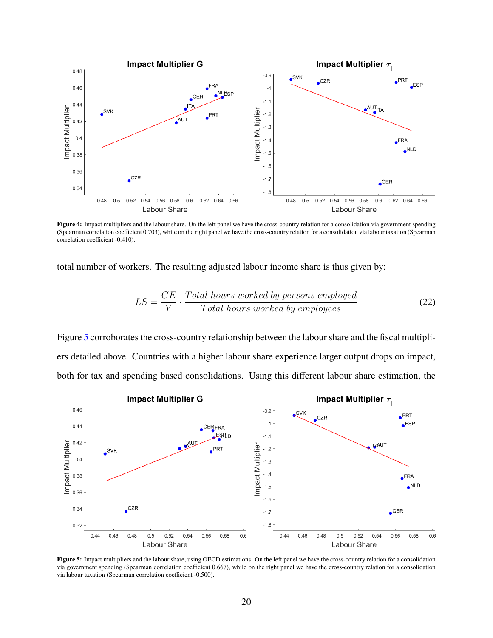

Figure 4: Impact multipliers and the labour share. On the left panel we have the cross-country relation for a consolidation via government spending (Spearman correlation coefficient 0.703), while on the right panel we have the cross-country relation for a consolidation via labour taxation (Spearman correlation coefficient -0.410).

total number of workers. The resulting adjusted labour income share is thus given by:

$$
LS = \frac{CE}{Y} \cdot \frac{Total \ hours \ worked \ by \ persons \ employed}{Total \ hours \ worked \ by \ employees}
$$
\n(22)

Figure 5 corroborates the cross-country relationship between the labour share and the fiscal multipliers detailed above. Countries with a higher labour share experience larger output drops on impact, both for tax and spending based consolidations. Using this different labour share estimation, the



**Figure 5:** Impact multipliers and the labour share, using OECD estimations. On the left panel we have the cross-country relation for a consolidation via government spending (Spearman correlation coefficient 0.667), while on the right panel we have the cross-country relation for a consolidation via labour taxation (Spearman correlation coefficient -0.500).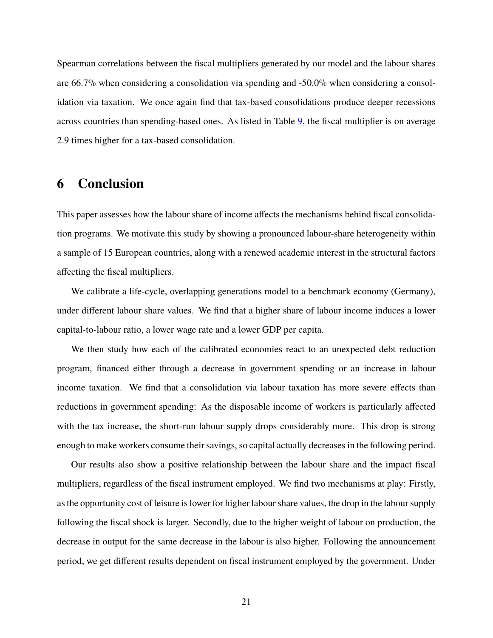Spearman correlations between the fiscal multipliers generated by our model and the labour shares are 66.7% when considering a consolidation via spending and -50.0% when considering a consolidation via taxation. We once again find that tax-based consolidations produce deeper recessions across countries than spending-based ones. As listed in Table 9, the fiscal multiplier is on average 2.9 times higher for a tax-based consolidation.

## **6 Conclusion**

This paper assesses how the labour share of income affects the mechanisms behind fiscal consolidation programs. We motivate this study by showing a pronounced labour-share heterogeneity within a sample of 15 European countries, along with a renewed academic interest in the structural factors affecting the fiscal multipliers.

We calibrate a life-cycle, overlapping generations model to a benchmark economy (Germany), under different labour share values. We find that a higher share of labour income induces a lower capital-to-labour ratio, a lower wage rate and a lower GDP per capita.

We then study how each of the calibrated economies react to an unexpected debt reduction program, financed either through a decrease in government spending or an increase in labour income taxation. We find that a consolidation via labour taxation has more severe effects than reductions in government spending: As the disposable income of workers is particularly affected with the tax increase, the short-run labour supply drops considerably more. This drop is strong enough to make workers consume their savings, so capital actually decreases in the following period.

Our results also show a positive relationship between the labour share and the impact fiscal multipliers, regardless of the fiscal instrument employed. We find two mechanisms at play: Firstly, as the opportunity cost of leisure is lower for higher labour share values, the drop in the labour supply following the fiscal shock is larger. Secondly, due to the higher weight of labour on production, the decrease in output for the same decrease in the labour is also higher. Following the announcement period, we get different results dependent on fiscal instrument employed by the government. Under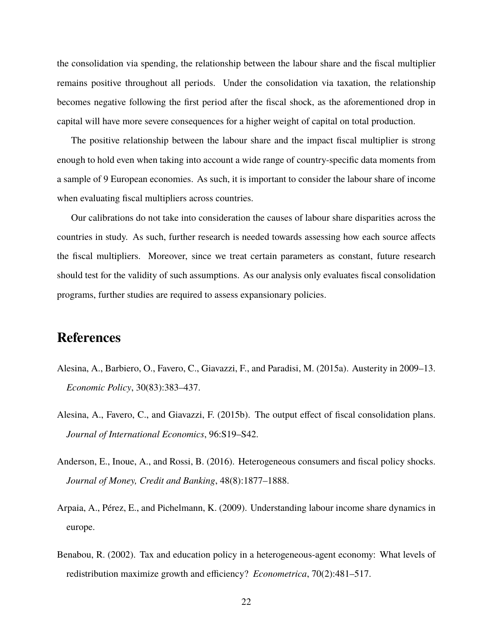the consolidation via spending, the relationship between the labour share and the fiscal multiplier remains positive throughout all periods. Under the consolidation via taxation, the relationship becomes negative following the first period after the fiscal shock, as the aforementioned drop in capital will have more severe consequences for a higher weight of capital on total production.

The positive relationship between the labour share and the impact fiscal multiplier is strong enough to hold even when taking into account a wide range of country-specific data moments from a sample of 9 European economies. As such, it is important to consider the labour share of income when evaluating fiscal multipliers across countries.

Our calibrations do not take into consideration the causes of labour share disparities across the countries in study. As such, further research is needed towards assessing how each source affects the fiscal multipliers. Moreover, since we treat certain parameters as constant, future research should test for the validity of such assumptions. As our analysis only evaluates fiscal consolidation programs, further studies are required to assess expansionary policies.

## **References**

- Alesina, A., Barbiero, O., Favero, C., Giavazzi, F., and Paradisi, M. (2015a). Austerity in 2009–13. *Economic Policy*, 30(83):383–437.
- Alesina, A., Favero, C., and Giavazzi, F. (2015b). The output effect of fiscal consolidation plans. *Journal of International Economics*, 96:S19–S42.
- Anderson, E., Inoue, A., and Rossi, B. (2016). Heterogeneous consumers and fiscal policy shocks. *Journal of Money, Credit and Banking*, 48(8):1877–1888.
- Arpaia, A., Pérez, E., and Pichelmann, K. (2009). Understanding labour income share dynamics in europe.
- Benabou, R. (2002). Tax and education policy in a heterogeneous-agent economy: What levels of redistribution maximize growth and efficiency? *Econometrica*, 70(2):481–517.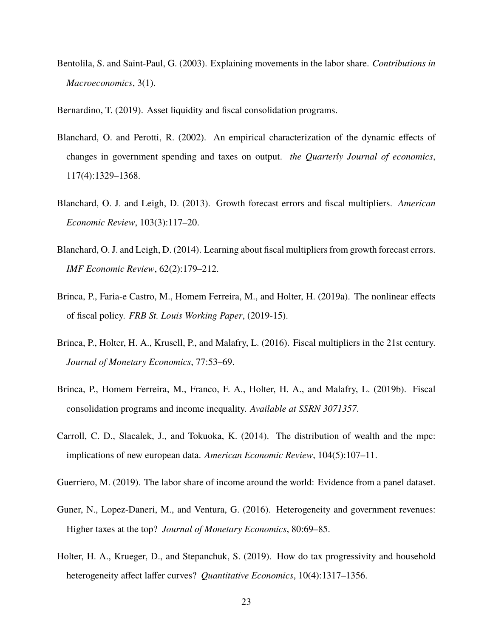Bentolila, S. and Saint-Paul, G. (2003). Explaining movements in the labor share. *Contributions in Macroeconomics*, 3(1).

Bernardino, T. (2019). Asset liquidity and fiscal consolidation programs.

- Blanchard, O. and Perotti, R. (2002). An empirical characterization of the dynamic effects of changes in government spending and taxes on output. *the Quarterly Journal of economics*, 117(4):1329–1368.
- Blanchard, O. J. and Leigh, D. (2013). Growth forecast errors and fiscal multipliers. *American Economic Review*, 103(3):117–20.
- Blanchard, O. J. and Leigh, D. (2014). Learning about fiscal multipliers from growth forecast errors. *IMF Economic Review*, 62(2):179–212.
- Brinca, P., Faria-e Castro, M., Homem Ferreira, M., and Holter, H. (2019a). The nonlinear effects of fiscal policy. *FRB St. Louis Working Paper*, (2019-15).
- Brinca, P., Holter, H. A., Krusell, P., and Malafry, L. (2016). Fiscal multipliers in the 21st century. *Journal of Monetary Economics*, 77:53–69.
- Brinca, P., Homem Ferreira, M., Franco, F. A., Holter, H. A., and Malafry, L. (2019b). Fiscal consolidation programs and income inequality. *Available at SSRN 3071357*.
- Carroll, C. D., Slacalek, J., and Tokuoka, K. (2014). The distribution of wealth and the mpc: implications of new european data. *American Economic Review*, 104(5):107–11.
- Guerriero, M. (2019). The labor share of income around the world: Evidence from a panel dataset.
- Guner, N., Lopez-Daneri, M., and Ventura, G. (2016). Heterogeneity and government revenues: Higher taxes at the top? *Journal of Monetary Economics*, 80:69–85.
- Holter, H. A., Krueger, D., and Stepanchuk, S. (2019). How do tax progressivity and household heterogeneity affect laffer curves? *Quantitative Economics*, 10(4):1317–1356.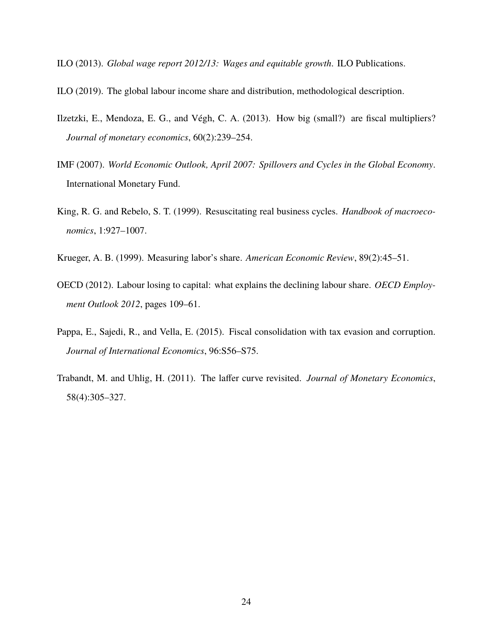- ILO (2013). *Global wage report 2012/13: Wages and equitable growth*. ILO Publications.
- ILO (2019). The global labour income share and distribution, methodological description.
- Ilzetzki, E., Mendoza, E. G., and Végh, C. A. (2013). How big (small?) are fiscal multipliers? *Journal of monetary economics*, 60(2):239–254.
- IMF (2007). *World Economic Outlook, April 2007: Spillovers and Cycles in the Global Economy*. International Monetary Fund.
- King, R. G. and Rebelo, S. T. (1999). Resuscitating real business cycles. *Handbook of macroeconomics*, 1:927–1007.
- Krueger, A. B. (1999). Measuring labor's share. *American Economic Review*, 89(2):45–51.
- OECD (2012). Labour losing to capital: what explains the declining labour share. *OECD Employment Outlook 2012*, pages 109–61.
- Pappa, E., Sajedi, R., and Vella, E. (2015). Fiscal consolidation with tax evasion and corruption. *Journal of International Economics*, 96:S56–S75.
- Trabandt, M. and Uhlig, H. (2011). The laffer curve revisited. *Journal of Monetary Economics*, 58(4):305–327.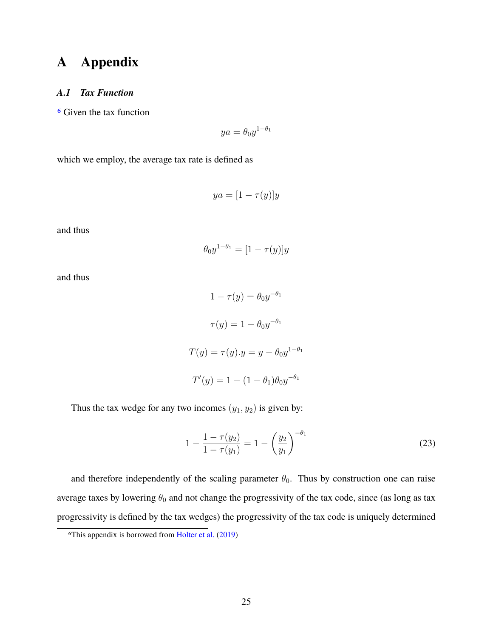## **A Appendix**

#### *A.1 Tax Function*

6 Given the tax function

$$
ya = \theta_0 y^{1-\theta_1}
$$

which we employ, the average tax rate is defined as

$$
ya = [1 - \tau(y)]y
$$

and thus

$$
\theta_0 y^{1-\theta_1} = [1 - \tau(y)]y
$$

and thus

 $1-\tau(y)=\theta_0y^{-\theta_1}$  $\tau(y) = 1 - \theta_0 y^{-\theta_1}$  $T(y) = \tau(y).y = y - \theta_0 y^{1-\theta_1}$  $T'(y) = 1 - (1 - \theta_1)\theta_0 y^{-\theta_1}$ 

Thus the tax wedge for any two incomes  $(y_1, y_2)$  is given by:

$$
1 - \frac{1 - \tau(y_2)}{1 - \tau(y_1)} = 1 - \left(\frac{y_2}{y_1}\right)^{-\theta_1}
$$
 (23)

and therefore independently of the scaling parameter  $\theta_0$ . Thus by construction one can raise average taxes by lowering  $\theta_0$  and not change the progressivity of the tax code, since (as long as tax progressivity is defined by the tax wedges) the progressivity of the tax code is uniquely determined

<sup>6</sup>This appendix is borrowed from Holter et al. (2019)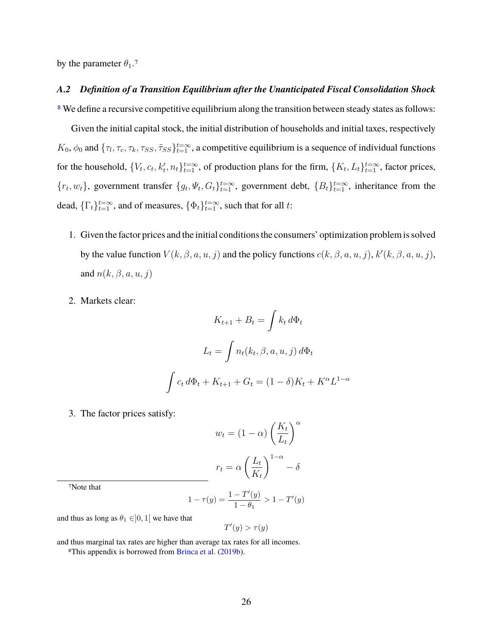by the parameter  $\theta_1$ .7

#### *A.2 Definition of a Transition Equilibrium after the Unanticipated Fiscal Consolidation Shock*

<sup>8</sup> We define a recursive competitive equilibrium along the transition between steady states as follows:

Given the initial capital stock, the initial distribution of households and initial taxes, respectively  $K_0$ ,  $\phi_0$  and  $\{\tau_l, \tau_c, \tau_k, \tau_{SS}, \tilde{\tau}_{SS}\}_{t=1}^{t=\infty}$ , a competitive equilibrium is a sequence of individual functions for the household,  $\{V_t, c_t, k'_t, n_t\}_{t=1}^{t=\infty}$ , of production plans for the firm,  $\{K_t, L_t\}_{t=1}^{t=\infty}$ , factor prices,  $\{r_t, w_t\}$ , government transfer  $\{g_t, \Psi_t, G_t\}_{t=1}^{t=\infty}$ , government debt,  $\{B_t\}_{t=1}^{t=\infty}$ , inheritance from the dead,  $\{\Gamma_t\}_{t=1}^{t=\infty}$ , and of measures,  $\{\Phi_t\}_{t=1}^{t=\infty}$ , such that for all t:

- 1. Given the factor prices and the initial conditions the consumers' optimization problem is solved by the value function  $V(k, \beta, a, u, j)$  and the policy functions  $c(k, \beta, a, u, j)$ ,  $k'(k, \beta, a, u, j)$ , and  $n(k, \beta, a, u, j)$
- 2. Markets clear:

$$
K_{t+1} + B_t = \int k_t d\Phi_t
$$

$$
L_t = \int n_t(k_t, \beta, a, u, j) d\Phi_t
$$

$$
\int c_t d\Phi_t + K_{t+1} + G_t = (1 - \delta)K_t + K^{\alpha}L^{1-\alpha}
$$

3. The factor prices satisfy:

$$
w_t = (1 - \alpha) \left(\frac{K_t}{L_t}\right)^{\alpha}
$$

$$
r_t = \alpha \left(\frac{L_t}{K_t}\right)^{1 - \alpha} - \delta
$$

7Note that

$$
1 - \tau(y) = \frac{1 - T'(y)}{1 - \theta_1} > 1 - T'(y)
$$

and thus as long as  $\theta_1 \in ]0,1[$  we have that

$$
T'(y) > \tau(y)
$$

and thus marginal tax rates are higher than average tax rates for all incomes.

<sup>8</sup>This appendix is borrowed from Brinca et al. (2019b).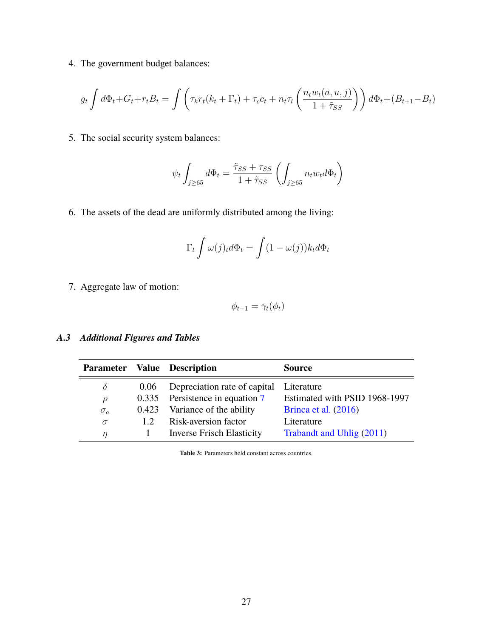4. The government budget balances:

$$
g_t \int d\Phi_t + G_t + r_t B_t = \int \left( \tau_k r_t (k_t + \Gamma_t) + \tau_c c_t + n_t \tau_l \left( \frac{n_t w_t(a, u, j)}{1 + \tilde{\tau}_{SS}} \right) \right) d\Phi_t + (B_{t+1} - B_t)
$$

5. The social security system balances:

$$
\psi_t \int_{j \geq 65} d\Phi_t = \frac{\tilde{\tau}_{SS} + \tau_{SS}}{1 + \tilde{\tau}_{SS}} \left( \int_{j \geq 65} n_t w_t d\Phi_t \right)
$$

6. The assets of the dead are uniformly distributed among the living:

$$
\Gamma_t \int \omega(j)_t d\Phi_t = \int (1 - \omega(j)) k_t d\Phi_t
$$

7. Aggregate law of motion:

$$
\phi_{t+1} = \gamma_t(\phi_t)
$$

### *A.3 Additional Figures and Tables*

| <b>Parameter</b> |       | <b>Value</b> Description         | <b>Source</b>                 |
|------------------|-------|----------------------------------|-------------------------------|
| $\delta$         | 0.06  | Depreciation rate of capital     | Literature                    |
| $\mu$            |       | 0.335 Persistence in equation 7  | Estimated with PSID 1968-1997 |
| $\sigma_a$       | 0.423 | Variance of the ability          | Brinca et al. $(2016)$        |
| $\sigma$         | 12    | Risk-aversion factor             | Literature                    |
| $\eta$           |       | <b>Inverse Frisch Elasticity</b> | Trabandt and Uhlig (2011)     |

**Table 3:** Parameters held constant across countries.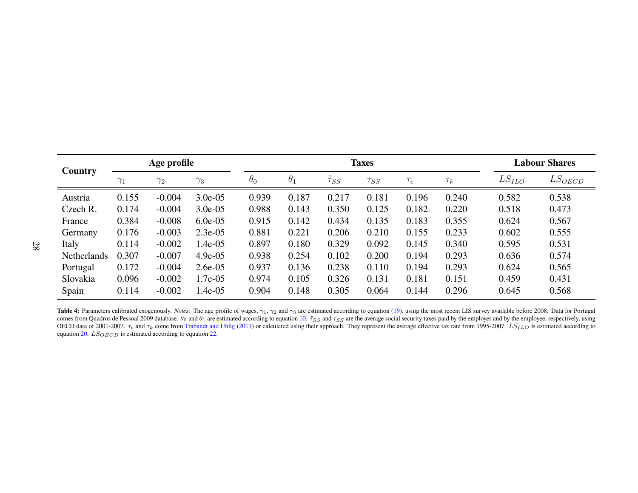|             | Age profile |            |            | <b>Taxes</b> |            |             |             |          |          | <b>Labour Shares</b> |             |
|-------------|-------------|------------|------------|--------------|------------|-------------|-------------|----------|----------|----------------------|-------------|
| Country     | $\gamma_1$  | $\gamma_2$ | $\gamma_3$ | $\theta_0$   | $\theta_1$ | $\tau_{SS}$ | $\tau_{SS}$ | $\tau_c$ | $\tau_k$ | $LS_{ILO}$           | $LS_{OECD}$ |
| Austria     | 0.155       | $-0.004$   | $3.0e-0.5$ | 0.939        | 0.187      | 0.217       | 0.181       | 0.196    | 0.240    | 0.582                | 0.538       |
| Czech R.    | 0.174       | $-0.004$   | $3.0e-0.5$ | 0.988        | 0.143      | 0.350       | 0.125       | 0.182    | 0.220    | 0.518                | 0.473       |
| France      | 0.384       | $-0.008$   | $6.0e-0.5$ | 0.915        | 0.142      | 0.434       | 0.135       | 0.183    | 0.355    | 0.624                | 0.567       |
| Germany     | 0.176       | $-0.003$   | $2.3e-0.5$ | 0.881        | 0.221      | 0.206       | 0.210       | 0.155    | 0.233    | 0.602                | 0.555       |
| Italy       | 0.114       | $-0.002$   | $1.4e-05$  | 0.897        | 0.180      | 0.329       | 0.092       | 0.145    | 0.340    | 0.595                | 0.531       |
| Netherlands | 0.307       | $-0.007$   | $4.9e-05$  | 0.938        | 0.254      | 0.102       | 0.200       | 0.194    | 0.293    | 0.636                | 0.574       |
| Portugal    | 0.172       | $-0.004$   | $2.6e-0.5$ | 0.937        | 0.136      | 0.238       | 0.110       | 0.194    | 0.293    | 0.624                | 0.565       |
| Slovakia    | 0.096       | $-0.002$   | 1.7e-05    | 0.974        | 0.105      | 0.326       | 0.131       | 0.181    | 0.151    | 0.459                | 0.431       |
| Spain       | 0.114       | $-0.002$   | 1.4e-05    | 0.904        | 0.148      | 0.305       | 0.064       | 0.144    | 0.296    | 0.645                | 0.568       |

Table 4: Parameters calibrated exogenously. *Notes:* The age profile of wages,  $\gamma_1$ ,  $\gamma_2$  and  $\gamma_3$  are estimated according to equation (19), using the most recent LIS survey available before 2008. Data for Portugal comes from Quadros de Pessoal 2009 database.  $\theta_0$  and  $\theta_1$  are estimated according to equation 10.  $\tilde{\tau}_{SS}$  and  $\tau_{SS}$  are the average social security taxes paid by the employer and by the employee, respectively, u OECD data of 2001-2007.  $\tau_c$  and  $\tau_k$  come from Trabandt and Uhlig (2011) or calculated using their approach. They represent the average effective tax rate from 1995-2007.  $LS_{ILO}$  is estimated according to equation 20.  $LS_{OECD}$  is estimated according to equation 22.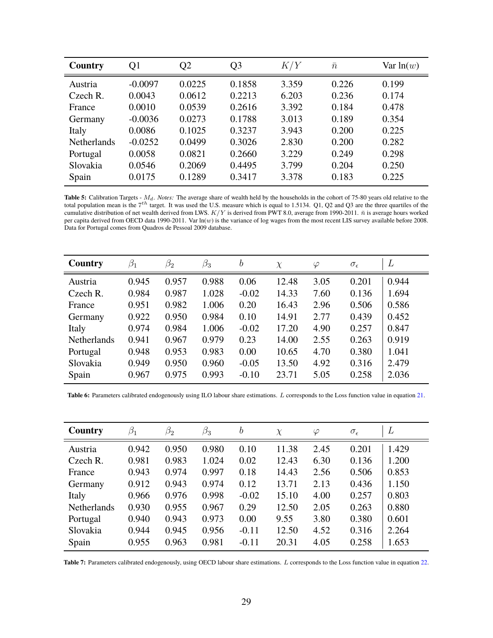| Country            | Q1        | Q2     | Q <sub>3</sub> | K/Y   | $\bar{n}$ | Var $ln(w)$ |
|--------------------|-----------|--------|----------------|-------|-----------|-------------|
| Austria            | $-0.0097$ | 0.0225 | 0.1858         | 3.359 | 0.226     | 0.199       |
| Czech R.           | 0.0043    | 0.0612 | 0.2213         | 6.203 | 0.236     | 0.174       |
| France             | 0.0010    | 0.0539 | 0.2616         | 3.392 | 0.184     | 0.478       |
| Germany            | $-0.0036$ | 0.0273 | 0.1788         | 3.013 | 0.189     | 0.354       |
| Italy              | 0.0086    | 0.1025 | 0.3237         | 3.943 | 0.200     | 0.225       |
| <b>Netherlands</b> | $-0.0252$ | 0.0499 | 0.3026         | 2.830 | 0.200     | 0.282       |
| Portugal           | 0.0058    | 0.0821 | 0.2660         | 3.229 | 0.249     | 0.298       |
| Slovakia           | 0.0546    | 0.2069 | 0.4495         | 3.799 | 0.204     | 0.250       |
| Spain              | 0.0175    | 0.1289 | 0.3417         | 3.378 | 0.183     | 0.225       |

Table 5: Calibration Targets -  $M_d$ . *Notes:* The average share of wealth held by the households in the cohort of 75-80 years old relative to the total population mean is the  $7^{th}$  target. It was used the U.S. measure which is equal to 1.5134. Q1, Q2 and Q3 are the three quartiles of the cumulative distribution of net wealth derived from LWS.  $K/Y$  is derived from PWT 8.0, average from 1990-2011.  $\bar{n}$  is average hours worked per capita derived from OECD data 1990-2011. Var  $\ln(w)$  is the variance of log wages from the most recent LIS survey available before 2008. Data for Portugal comes from Quadros de Pessoal 2009 database.

| Country            | $\beta_1$ | $\beta_2$ | $\beta_3$ | $\boldsymbol{b}$ | $\chi$ | $\varphi$ | $\sigma_{\epsilon}$ | L     |
|--------------------|-----------|-----------|-----------|------------------|--------|-----------|---------------------|-------|
| Austria            | 0.945     | 0.957     | 0.988     | 0.06             | 12.48  | 3.05      | 0.201               | 0.944 |
| Czech R.           | 0.984     | 0.987     | 1.028     | $-0.02$          | 14.33  | 7.60      | 0.136               | 1.694 |
| France             | 0.951     | 0.982     | 1.006     | 0.20             | 16.43  | 2.96      | 0.506               | 0.586 |
| Germany            | 0.922     | 0.950     | 0.984     | 0.10             | 14.91  | 2.77      | 0.439               | 0.452 |
| Italy              | 0.974     | 0.984     | 1.006     | $-0.02$          | 17.20  | 4.90      | 0.257               | 0.847 |
| <b>Netherlands</b> | 0.941     | 0.967     | 0.979     | 0.23             | 14.00  | 2.55      | 0.263               | 0.919 |
| Portugal           | 0.948     | 0.953     | 0.983     | 0.00             | 10.65  | 4.70      | 0.380               | 1.041 |
| Slovakia           | 0.949     | 0.950     | 0.960     | $-0.05$          | 13.50  | 4.92      | 0.316               | 2.479 |
| Spain              | 0.967     | 0.975     | 0.993     | $-0.10$          | 23.71  | 5.05      | 0.258               | 2.036 |

**Table 6:** Parameters calibrated endogenously using ILO labour share estimations. L corresponds to the Loss function value in equation 21.

| Country            | $\beta_1$ | $\beta_2$ | $\beta_3$ | $\boldsymbol{b}$ | $\chi$ | $\varphi$ | $\sigma_{\epsilon}$ | L     |
|--------------------|-----------|-----------|-----------|------------------|--------|-----------|---------------------|-------|
| Austria            | 0.942     | 0.950     | 0.980     | 0.10             | 11.38  | 2.45      | 0.201               | 1.429 |
| Czech R.           | 0.981     | 0.983     | 1.024     | 0.02             | 12.43  | 6.30      | 0.136               | 1.200 |
| France             | 0.943     | 0.974     | 0.997     | 0.18             | 14.43  | 2.56      | 0.506               | 0.853 |
| Germany            | 0.912     | 0.943     | 0.974     | 0.12             | 13.71  | 2.13      | 0.436               | 1.150 |
| Italy              | 0.966     | 0.976     | 0.998     | $-0.02$          | 15.10  | 4.00      | 0.257               | 0.803 |
| <b>Netherlands</b> | 0.930     | 0.955     | 0.967     | 0.29             | 12.50  | 2.05      | 0.263               | 0.880 |
| Portugal           | 0.940     | 0.943     | 0.973     | 0.00             | 9.55   | 3.80      | 0.380               | 0.601 |
| Slovakia           | 0.944     | 0.945     | 0.956     | $-0.11$          | 12.50  | 4.52      | 0.316               | 2.264 |
| Spain              | 0.955     | 0.963     | 0.981     | $-0.11$          | 20.31  | 4.05      | 0.258               | 1.653 |

**Table 7:** Parameters calibrated endogenously, using OECD labour share estimations. L corresponds to the Loss function value in equation 22.